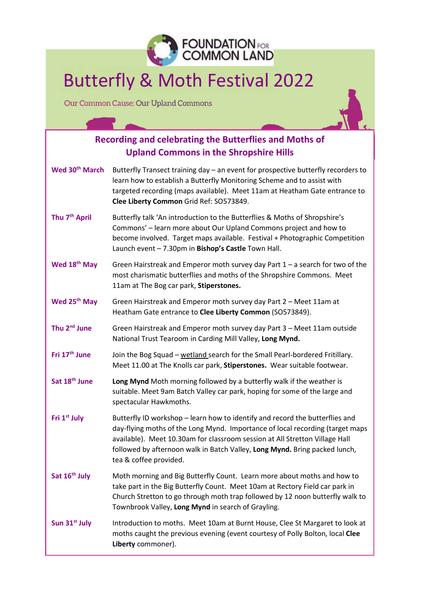

## Butterfly & Moth Festival 2022

Our Common Cause: Our Upland Commons

| Recording and celebrating the Butterflies and Moths of<br><b>Upland Commons in the Shropshire Hills</b> |                                                                                                                                                                                                                                                                                                                                                      |
|---------------------------------------------------------------------------------------------------------|------------------------------------------------------------------------------------------------------------------------------------------------------------------------------------------------------------------------------------------------------------------------------------------------------------------------------------------------------|
| Wed 30 <sup>th</sup> March                                                                              | Butterfly Transect training day - an event for prospective butterfly recorders to<br>learn how to establish a Butterfly Monitoring Scheme and to assist with<br>targeted recording (maps available). Meet 11am at Heatham Gate entrance to<br>Clee Liberty Common Grid Ref: SO573849.                                                                |
| Thu 7 <sup>th</sup> April                                                                               | Butterfly talk 'An introduction to the Butterflies & Moths of Shropshire's<br>Commons' - learn more about Our Upland Commons project and how to<br>become involved. Target maps available. Festival + Photographic Competition<br>Launch event - 7.30pm in Bishop's Castle Town Hall.                                                                |
| Wed 18 <sup>th</sup> May                                                                                | Green Hairstreak and Emperor moth survey day Part $1 - a$ search for two of the<br>most charismatic butterflies and moths of the Shropshire Commons. Meet<br>11am at The Bog car park, Stiperstones.                                                                                                                                                 |
| Wed 25 <sup>th</sup> May                                                                                | Green Hairstreak and Emperor moth survey day Part 2 - Meet 11am at<br>Heatham Gate entrance to Clee Liberty Common (SO573849).                                                                                                                                                                                                                       |
| Thu 2 <sup>nd</sup> June                                                                                | Green Hairstreak and Emperor moth survey day Part 3 - Meet 11am outside<br>National Trust Tearoom in Carding Mill Valley, Long Mynd.                                                                                                                                                                                                                 |
| Fri 17 <sup>th</sup> June                                                                               | Join the Bog Squad - wetland search for the Small Pearl-bordered Fritillary.<br>Meet 11.00 at The Knolls car park, Stiperstones. Wear suitable footwear.                                                                                                                                                                                             |
| Sat 18 <sup>th</sup> June                                                                               | Long Mynd Moth morning followed by a butterfly walk if the weather is<br>suitable. Meet 9am Batch Valley car park, hoping for some of the large and<br>spectacular Hawkmoths.                                                                                                                                                                        |
| Fri 1st July                                                                                            | Butterfly ID workshop - learn how to identify and record the butterflies and<br>day-flying moths of the Long Mynd. Importance of local recording (target maps<br>available). Meet 10.30am for classroom session at All Stretton Village Hall<br>followed by afternoon walk in Batch Valley, Long Mynd. Bring packed lunch,<br>tea & coffee provided. |
| Sat 16th July                                                                                           | Moth morning and Big Butterfly Count. Learn more about moths and how to<br>take part in the Big Butterfly Count. Meet 10am at Rectory Field car park in<br>Church Stretton to go through moth trap followed by 12 noon butterfly walk to<br>Townbrook Valley, Long Mynd in search of Grayling.                                                       |
| Sun 31st July                                                                                           | Introduction to moths. Meet 10am at Burnt House, Clee St Margaret to look at<br>moths caught the previous evening (event courtesy of Polly Bolton, local Clee<br>Liberty commoner).                                                                                                                                                                  |